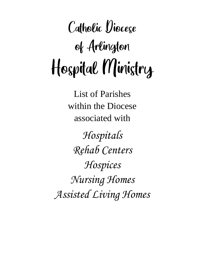# Catholic Diocese of Arlington Hospital Ministry

List of Parishes within the Diocese associated with

*Hospitals Rehab Centers Hospices Nursing Homes Assisted Living Homes*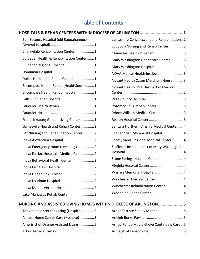# Table of Contents

| HOSPITALS & REHAB CENTERS WITHIN DIOCESE OF ARLINGTON 1        |                                              |
|----------------------------------------------------------------|----------------------------------------------|
| Bon Secours Hospital (old Rappahannock                         | Lancashire Convalescent and Rehabilitation 2 |
|                                                                | Loudoun Nursing and Rehab Center 3           |
| Cherrydale Rehabilitation Center  1                            | Manassas Health & Rehab  3                   |
| Culpeper Health & Rehabilitation Center 1                      | Mary Washington Healthcare Center3           |
| Culpeper Regional Hospital1                                    | Mary Washington Hospital  3                  |
|                                                                | NOVA Mental Health Institute 3               |
| Dulles Health and Rehab Center 1                               | Novant Health Caton Merchant House  3        |
| Encompass Health Rehab (HealthSouth)1                          | Novant Health UVA Haymarket Medical          |
| Encompass Health Rehabilitation  1                             |                                              |
|                                                                |                                              |
|                                                                | Potomac Falls Rehab Center 3                 |
|                                                                | Prince William Medical Center  3             |
| Fredericksburg Golden Living Center1                           |                                              |
| Gainesville Health and Rehab Center 2                          | Sentara Northern Virginia Medical Center  4  |
| Iliff Nursing and Rehabilitation Center 2                      | Shenandoah Memorial Hospital  4              |
|                                                                | Spotsylvania Regional Medical Center  4      |
| Inova Emergency room (Leesburg) 2                              | Stafford Hospital - part of Mary Washington  |
| Inova Fairfax Hospital - Medical Campus2                       |                                              |
| Inova Behavioral Health Center  2                              | Stone Springs Hospital Center  4             |
|                                                                |                                              |
|                                                                | Warren Memorial Hospital  4                  |
|                                                                | Winchester Medical Center  4                 |
|                                                                | Winchester Rehabilitation Center  4          |
| Lake Manassas Rehab Center  2                                  |                                              |
| NURSING AND ASSISTED LIVING HOMES WITHIN DIOCESE OF ARLINGTON5 |                                              |
| The Adler Center for Caring (Hospice) 5                        | Arbor Terrace Sudley Manor  5                |
| Almost Home Senior Care (Hospice)5                             |                                              |

[Ashby Ponds-Maple Grove Continuing Care](#page-9-7) .. 5

[Ashleigh at Lansdowne](#page-9-8) ................................... 5

| Allilost Home Senior Care (Hospice)  |
|--------------------------------------|
| Amerisist of Orange Assisted Living5 |
|                                      |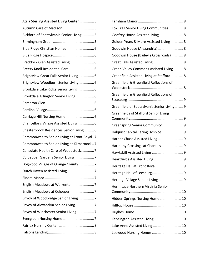| Atria Sterling Assisted Living Center 5    |  |
|--------------------------------------------|--|
| Autumn Care of Madison5                    |  |
| Bickford of Spotsylvania Senior Living  5  |  |
|                                            |  |
|                                            |  |
|                                            |  |
| Braddock Glen Assisted Living  6           |  |
|                                            |  |
| Brightview Great Falls Senior Living 6     |  |
| Brightview Woodburn Senior Living  6       |  |
| Brookdale Lake Ridge Senior Living 6       |  |
| Brookdale Arlington Senior Living 6        |  |
|                                            |  |
|                                            |  |
|                                            |  |
| Chancellor's Village Assisted Living 6     |  |
| Chesterbrook Residences Senior Living  6   |  |
| Commonwealth Senior Living at Front Royal7 |  |
| Commonwealth Senior Living at Kilmarnock7  |  |
| Consulate Health Care of Woodstock7        |  |
| Culpepper Gardens Senior Living7           |  |
| Dogwood Village of Orange County7          |  |
|                                            |  |
|                                            |  |
| English Meadows at Warrenton 7             |  |
|                                            |  |
| Envoy of Woodbridge Senior Living7         |  |
| Envoy of Alexandria Senior Living7         |  |
| Envoy of Winchester Senior Living7         |  |
|                                            |  |
|                                            |  |
|                                            |  |

| Fox Trail Senior Living Communities 8        |
|----------------------------------------------|
| Godfrey House Assisted living  8             |
| Golden Years & More Assisted Living 8        |
| Goodwin House (Alexandria) 8                 |
| Goodwin House (Bailey's Crossroads)  8       |
| Great Falls Assisted Living 8                |
| Green Valley Commons Assisted Living 8       |
| Greenfield Assisted Living at Stafford 8     |
| Greenfield & Greenfield Reflections of       |
| Greenfield & Greenfield Reflections of       |
| Greenfield of Spotsylvania Senior Living  9  |
| <b>Greenfields of Stafford Senior Living</b> |
| Greenspring Senior Community  9              |
| Halquist Capital Caring Hospice 9            |
| Harbor Chase Assisted Living 9               |
| Harmony Crossings at Chantilly  9            |
|                                              |
| Heartfields Assisted Living  9               |
| Heritage Hall at Front Royal 9               |
|                                              |
| Heritage Village Senior Living  9            |
| Hermitage Northern Virginia Senior           |
| Hidden Springs Nursing Home 10               |
|                                              |
|                                              |
| Kensington Assisted Living 10                |
| Lake Anne Assisted Living  10                |
| Leewood Nursing Homes 10                     |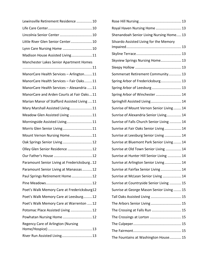| Lewinsville Retirement Residence  10         |
|----------------------------------------------|
|                                              |
| Lincolnia Senior Center  10                  |
| Little River Glen Senior Center 10           |
| Lynn Care Nursing Home  10                   |
| Madison House Assisted Living11              |
| Manchester Lakes Senior Apartment Homes      |
|                                              |
| ManorCare Health Services - Arlington11      |
| ManorCare Health Services - Fair Oaks11      |
| ManorCare Health Services - Alexandria 11    |
| ManorCare and Arden Courts at Fair Oaks11    |
| Marian Manor of Stafford Assisted Living  11 |
| Mary Marshall Assisted Living 11             |
| Meadow Glen Assisted Living  11              |
| Morningside Assisted Living 11               |
| Morris Glen Senior Living 11                 |
| Mount Vernon Nursing Home11                  |
| Oak Springs Senior Living  12                |
| Olley Glen Senior Residence  12              |
|                                              |
| Paramount Senior Living at Fredericksburg12  |
| Paramount Senior Living at Manassas  12      |
| Paul Springs Retirement Home 12              |
|                                              |
| Poet's Walk Memory Care at Fredericksburg12  |
| Poet's Walk Memory Care at Leesburg12        |
| Poet's Walk Memory Care at Warrenton  12     |
| Potomac Place Assisted Living  12            |
| Powhatan Nursing Home  12                    |
| Regency Care of Arlington (Nursing           |
| River Run Assisted Living 13                 |
|                                              |

| Royal Haven Nursing Home  13              |  |
|-------------------------------------------|--|
| Shenandoah Senior Living Nursing Home 13  |  |
| Silvardo Assisted Living for the Memory   |  |
|                                           |  |
|                                           |  |
| Skyview Springs Nursing Home 13           |  |
|                                           |  |
| Sommerset Retirement Community 13         |  |
| Spring Arbor of Fredericksburg 13         |  |
| Spring Arbor of Leesburg  13              |  |
| Spring Arbor of Winchester  14            |  |
| Springhill Assisted Living 14             |  |
| Sunrise of Mount Vernon Senior Living 14  |  |
| Sunrise of Alexandria Senior Living 14    |  |
| Sunrise of Falls Church Senior Living  14 |  |
| Sunrise at Fair Oaks Senior Living 14     |  |
| Sunrise at Leesburg Senior Living  14     |  |
| Sunrise at Bluemont Park Senior Living 14 |  |
| Sunrise at Old Town Senior Living  14     |  |
| Sunrise at Hunter Hill Senior Living  14  |  |
| Sunrise at Arlington Senior Living 14     |  |
| Sunrise at Fairfax Senior Living  14      |  |
| Sunrise at McLean Senior Living  14       |  |
| Sunrise at Countryside Senior Living  15  |  |
| Sunrise at George Mason Senior Living 15  |  |
| Tall Oaks Assisted Living  15             |  |
| The Arbors Senior Living  15              |  |
| The Crossing at Falls Run  15             |  |
| The Crossings at Lorton  15               |  |
|                                           |  |
|                                           |  |
| The Fountains at Washington House 15      |  |
|                                           |  |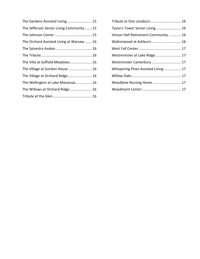| The Gardens Assisted Living 15          |
|-----------------------------------------|
| The Jefferson Senior Living Community15 |
|                                         |
| The Orchard Assisted Living at Warsaw16 |
|                                         |
|                                         |
| The Villa at Suffield Meadows 16        |
| The Village at Gordon House  16         |
| The Village at Orchard Ridge 16         |
| The Wellington at Lake Manassas 16      |
| The Willows at Orchard Ridge 16         |
|                                         |
|                                         |

| Tribute at One Loudoun 16           |  |
|-------------------------------------|--|
| Tyson's Tower Senior Living 16      |  |
| Vinson Hall Retirement Community 16 |  |
| Waltonwood at Ashburn 16            |  |
|                                     |  |
| Westminister at Lake Ridge  17      |  |
| Westminster Canterbury  17          |  |
| Whispering Pines Assisted Living 17 |  |
|                                     |  |
| Woodbine Nursing Home  17           |  |
|                                     |  |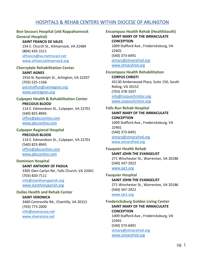# HOSPITALS & REHAB CENTERS WITHIN DIOCESE OF ARLINGTON

#### <span id="page-5-1"></span><span id="page-5-0"></span>**Bon Secours Hospital (old Rappahannock General Hospital)**

# **SAINT FRANCIS DE SALES**

154 E. Church St., Kilmarnock, VA 22484 (804) 435-1511 [stfrancis@va.metrocast.net](mailto:stfrancis@va.metrocast.net) [www.stfranciskilmarnock.org](http://www.stfranciskilmarnock.org/)

#### <span id="page-5-2"></span>**Cherrydale Rehabilitation Center**

**SAINT AGNES** 1910 N. Randolph St., Arlington, VA 22207 (703) 525-1166 [parishoffice@saintagnes.org](mailto:parishoffice@saintagnes.org) [www.saintagnes.org](http://www.saintagnes.org/)

#### <span id="page-5-3"></span>**Culpeper Health & Rehabilitation Center PRECIOUS BLOOD**

114 E. Edmondson St., Culpeper, VA 22701 (540) 825-8945 [office@pbcconline.com](mailto:office@pbcconline.com) [www.pbcconline.com](http://www.pbcconline.com/)

#### <span id="page-5-4"></span>**Culpeper Regional Hospital PRECIOUS BLOOD**

114 E. Edmondson St., Culpeper, VA 22701 (540) 825-8945 [office@pbcconline.com](mailto:office@pbcconline.com) [www.pbcconline.com](http://www.pbcconline.com/)

# <span id="page-5-5"></span>**Dominion Hospital**

**SAINT ANTHONY OF PADUA** 3305 Glen Carlyn Rd., Falls Church, VA 22041 (703) 820-7111 [info@stanthonyparish.org](mailto:info@stanthonyparish.org) [www.stanthonyparish.org](http://www.stanthonyparish.org/)

# <span id="page-5-6"></span>**Dulles Health and Rehab Center**

**SAINT VERONICA** 3460 Centreville Rd., Chantilly, VA 20151 (703) 773-2000 [info@stveronica.net](mailto:info@stveronica.net) [www.stveronica.net](http://www.stveronica.net/)

## <span id="page-5-7"></span>**Encompass Health Rehab (HealthSouth) SAINT MARY OF THE IMMACULATE CONCEPTION** 1009 Stafford Ave., Fredericksburg, VA 22401

(540) 373-6491 [stmary@stmaryfred.org](mailto:stmary@stmaryfred.org) [www.stmaryfred.org](http://www.stmaryfred.org/)

## <span id="page-5-8"></span>**Encompass Health Rehabilitation CORPUS CHRISTI** 43130 Amberwood Plaza, Suite 150, South Riding, VA 20152 (703) 378-1037 [info@corpuschristisr.org](mailto:info@corpuschristisr.org) [www.corpuschristisr.org](http://www.corpuschristisr.org/)

#### <span id="page-5-9"></span>**Falls Run Rehab Hospital**

**SAINT MARY OF THE IMMACULATE CONCEPTION** 1009 Stafford Ave., Fredericksburg, VA 22401 (540) 373-6491 [stmary@stmaryfred.org](mailto:stmary@stmaryfred.org) [www.stmaryfred.org](http://www.stmaryfred.org/)

<span id="page-5-10"></span>**Fauquier Health Rehab SAINT JOHN THE EVANGELIST** 271 Winchester St., Warrenton, VA 20186 (540) 347-2922 [www.sje1.org](http://www.sje1.org/)

<span id="page-5-11"></span>**Fauquier Hospital SAINT JOHN THE EVANGELIST** 271 Winchester St., Warrenton, VA 20186 (540) 347-2922 [www.sje1.org](http://www.sje1.org/)

## <span id="page-5-12"></span>**Fredericksburg Golden Living Center SAINT MARY OF THE IMMACULATE CONCEPTION** 1009 Stafford Ave., Fredericksburg, VA 22401 (540) 373-6491 [stmary@stmaryfred.org](mailto:stmary@stmaryfred.org) [www.stmaryfred.org](http://www.stmaryfred.org/)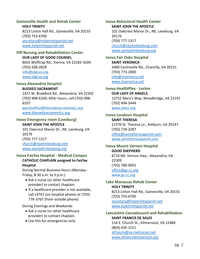## <span id="page-6-0"></span>**Gainesville Health and Rehab Center**

**HOLY TRINITY** 8213 Linton Hall Rd., Gainesville, VA 20155 (703) 753-6700 [secretary@holytrinityparish.net](mailto:secretary@holytrinityparish.net) [www.holytrinityparish.net](http://www.holytrinityparish.net/)

#### <span id="page-6-1"></span>**Iliff Nursing and Rehabilitation Center OUR LADY OF GOOD COUNSEL**

8601 Wolftrap Rd., Vienna, VA 22182-5026 (703) 938-2828 [info@olgcva.org](mailto:info@olgcva.org) [www.olgcva.org](http://www.olgcva.org/)

#### <span id="page-6-2"></span>**Inova Alexandria Hospital**

#### **BLESSED SACRAMENT**

1427 W. Braddock Rd., Alexandria, VA 22302 (703) 998-6100; After hours, call (703) 998- 6107 [parishoffice@blessedsacramentcc.org](mailto:parishoffice@blessedsacramentcc.org)

[www.blessedsacramentcc.org](http://www.blessedsacramentcc.org/)

# <span id="page-6-3"></span>**Inova Emergency room (Leesburg)**

#### **SAINT JOHN THE APOSTLE**

101 Oakcrest Manor Dr., NE, Leesburg, VA 20176 (703) 777-1317 [church@stjohnleesburg.com](mailto:church@stjohnleesburg.com) [www.saintjohnleesburg.org](http://www.saintjohnleesburg.org/)

#### <span id="page-6-4"></span>**Inova Fairfax Hospital - Medical Campus CATHOLIC CHAPLAIN assigned to Fairfax Hospital**

During Normal Business Hours (Monday - Friday, 8:30 a.m. to 5 p.m.)

- Ask a nurse (or other healthcare provider) to contact chaplain.
- If a healthcare provider is not available, call x3767 (on hospital phone) or (703) 776-3767 (from outside phone)

During Evenings and Weekends

- Ask a nurse (or other healthcare provider) to contact chaplain.
- Use this for emergencies only

<span id="page-6-5"></span>**Inova Behavioral Health Center SAINT JOHN THE APOSTLE** 101 Oakcrest Manor Dr., NE, Leesburg, VA 20176 (703) 777-1317 [church@stjohnleesburg.com](mailto:church@stjohnleesburg.com) [www.saintjohnleesburg.org](http://www.saintjohnleesburg.org/)

# <span id="page-6-6"></span>**Inova Fair Oaks Hospital**

**SAINT VERONICA** 3460 Centreville Rd., Chantilly, VA 20151 (703) 773-2000 [info@stveronica.net](mailto:info@stveronica.net) [www.stveronica.net](http://www.stveronica.net/)

<span id="page-6-7"></span>**Inova HealthPlex - Lorton OUR LADY OF ANGELS** 13752 Mary's Way, Woodbridge, VA 22191 (703) 494-2444 [www.olacc.org](http://www.olacc.org/)

#### <span id="page-6-8"></span>**Inova Loudoun Hospital**

**SAINT THERESA** 21370 St. Theresa Ln., Ashburn, VA 20147 (703) 729-2287 [office@sainttheresaparish.com](mailto:office@sainttheresaparish.com) [www.sainttheresaparish.com](http://www.sainttheresaparish.com/)

#### <span id="page-6-9"></span>**Inova Mount Vernon Hospital GOOD SHEPHERD** 8710 Mt. Vernon Hwy., Alexandria, VA 22309 (703) 780-4055 [office@gs-cc.org](mailto:office@gs-cc.org) [www.gs-cc.org](http://www.gs-cc.org/)

<span id="page-6-10"></span>**Lake Manassas Rehab Center HOLY TRINITY** 8213 Linton Hall Rd., Gainesville, VA 20155 (703) 753-6700 [secretary@holytrinityparish.net](mailto:secretary@holytrinityparish.net) [www.holytrinityparish.net](http://www.holytrinityparish.net/)

## <span id="page-6-11"></span>**Lancashire Convalescent and Rehabilitation SAINT FRANCIS DE SALES** 154 E. Church St., Kilmarnock, VA 22484 (804) 435-1511 [stfrancis@va.metrocast.net](mailto:stfrancis@va.metrocast.net)

[www.stfranciskilmarnock.org](http://www.stfranciskilmarnock.org/)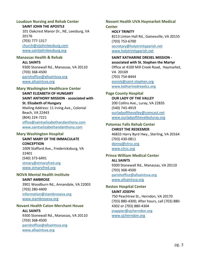# <span id="page-7-0"></span>**Loudoun Nursing and Rehab Center**

**SAINT JOHN THE APOSTLE**

101 Oakcrest Manor Dr., NE, Leesburg, VA 20176 (703) 777-1317 [church@stjohnleesburg.com](mailto:church@stjohnleesburg.com) [www.saintjohnleesburg.org](http://www.saintjohnleesburg.org/)

## <span id="page-7-1"></span>**Manassas Health & Rehab**

**ALL SAINTS** 9300 Stonewall Rd., Manassas, VA 20110 (703) 368-4500 [parishoffice@allsaintsva.org](mailto:parishoffice@allsaintsva.org) [www.allsaintsva.org](http://www.allsaintsva.org/)

## <span id="page-7-2"></span>**Mary Washington Healthcare Center**

**SAINT ELIZABETH OF HUNGARY SAINT ANTHONY MISSION - associated with St. Elizabeth of Hungary** Mailing Address: 11 Irving Ave., Colonial Beach, VA 22443 (804) 224-7221 [office@saintselizabethandanthony.com](mailto:office@saintselizabethandanthony.com) www[.saintselizabethandanthony.com](https://saintselizabethandanthony.com/)

## <span id="page-7-3"></span>**Mary Washington Hospital**

## **SAINT MARY OF THE IMMACULATE CONCEPTION**

1009 Stafford Ave., Fredericksburg, VA 22401 (540) 373-6491 [stmary@stmaryfred.org](mailto:stmary@stmaryfred.org) [www.stmaryfred.org](http://www.stmaryfred.org/)

## <span id="page-7-4"></span>**NOVA Mental Health Institute**

**SAINT AMBROSE** 3901 Woodburn Rd., Annandale, VA 22003 (703) 280-4400 [information@stambroseva.org](mailto:information@stambroseva.org) [www.stambroseva.org](http://www.stambroseva.org/)

## <span id="page-7-5"></span>**Novant Health Caton Merchant House**

## **ALL SAINTS** 9300 Stonewall Rd., Manassas, VA 20110 (703) 368-4500 [parishoffice@allsaintsva.org](mailto:parishoffice@allsaintsva.org) [www.allsaintsva.org](http://www.allsaintsva.org/)

# <span id="page-7-6"></span>**Novant Health UVA Haymarket Medical**

**Center HOLY TRINITY** 8213 Linton Hall Rd., Gainesville, VA 20155 (703) 753-6700 [secretary@holytrinityparish.net](mailto:secretary@holytrinityparish.net) [www.holytrinityparish.net](http://www.holytrinityparish.net/)

## **SAINT KATHARINE DREXEL MISSION -**

**associated with St. Stephen the Martyr** Office at 4100 Mill Creek Road, Haymarket, VA 20169 (703) 754-8444 [esivick@saint-stephen.org](mailto:esivick@saint-stephen.org) [www.katharinedrexelcc.org](http://www.katharinedrexelcc.org/)

#### <span id="page-7-7"></span>**Page County Hospital OUR LADY OF THE VALLEY**

200 Collins Ave., Luray, VA 22835 (540) 743-4919 [ourladyofthevalley@comcast.net](mailto:ourladyofthevalley@comcast.net) [www.ourladyofthevalleyluray.org](http://www.ourladyofthevalleyluray.org/)

#### <span id="page-7-8"></span>**Potomac Falls Rehab Center CHRIST THE REDEEMER**

46833 Harry Byrd Hwy., Sterling, VA 20164 (703) 430-0811 [donna@ctrcc.org](mailto:donna@ctrcc.org) [www.ctrcc.org](http://www.ctrcc.org/)

## <span id="page-7-9"></span>**Prince William Medical Center**

**ALL SAINTS** 9300 Stonewall Rd., Manassas, VA 20110 (703) 368-4500 [parishoffice@allsaintsva.org](mailto:parishoffice@allsaintsva.org) [www.allsaintsva.org](http://www.allsaintsva.org/)

#### <span id="page-7-10"></span>**Reston Hospital Center SAINT JOSEPH**

750 Peachtree St., Herndon, VA 20170 (703) 880-4300; After hours, call (703) 880- 4302 or (703) 880-4304 [jnappier@sjcherndon.org](mailto:jnappier@sjcherndon.org) [www.sjcherndon.org](http://www.sjcherndon.org/)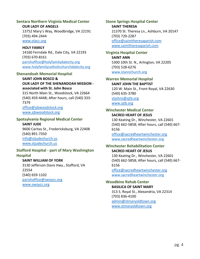#### <span id="page-8-0"></span>**Sentara Northern Virginia Medical Center OUR LADY OF ANGELS**

13752 Mary's Way, Woodbridge, VA 22191 (703) 494-2444 [www.olacc.org](http://www.olacc.org/)

# **HOLY FAMILY**

14160 Ferndale Rd., Dale City, VA 22193 (703) 670-8161 [parishoffice@holyfamilydalecity.org](mailto:parishoffice@holyfamilydalecity.org) [www.holyfamilycatholicchurchdalecity.org](http://www.holyfamilycatholicchurchdalecity.org/)

#### <span id="page-8-1"></span>**Shenandoah Memorial Hospital**

## **SAINT JOHN BOSCO & OUR LADY OF THE SHENANDOAH MISSION associated with St. John Bosco**

315 North Main St., Woodstock, VA 22664 (540) 459-4448; After hours, call (540) 333- 7379

[office@sjbwoodstock.org](mailto:office@sjbwoodstock.org) [www.sjbwoodstock.org](http://www.sjbwoodstock.org/)

#### <span id="page-8-2"></span>**Spotsylvania Regional Medical Center SAINT JUDE**

9600 Caritas St., Fredericksburg, VA 22408 (540) 891-7350 [info@stjudechurch.us](mailto:info@stjudechurch.us) [www.stjudechurch.us](http://www.stjudechurch.us/)

#### <span id="page-8-3"></span>**Stafford Hospital - part of Mary Washington Hospital**

**SAINT WILLIAM OF YORK**

3130 Jefferson Davis Hwy., Stafford, VA 22554 (540) 659-1102 [parishoffice@swoycc.org](mailto:parishoffice@swoycc.org) [www.swoycc.org](http://www.swoycc.org/)

## <span id="page-8-4"></span>**Stone Springs Hospital Center SAINT THERESA** 21370 St. Theresa Ln., Ashburn, VA 20147 (703) 729-2287 [office@sainttheresaparish.com](mailto:office@sainttheresaparish.com) [www.sainttheresaparish.com](http://www.sainttheresaparish.com/)

#### <span id="page-8-5"></span>**Virginia Hospital Center**

**SAINT ANN** 5300 10th St. N., Arlington, VA 22205 (703) 528-6276 [www.stannchurch.org](http://www.stannchurch.org/)

#### <span id="page-8-6"></span>**Warren Memorial Hospital SAINT JOHN THE BAPTIST**

120 W. Main St., Front Royal, VA 22630 (540) 635-3780 [stjohns@sjtb.org](mailto:stjohns@sjtb.org) [www.sjtb.org](http://www.sjtb.org/)

#### <span id="page-8-7"></span>**Winchester Medical Center SACRED HEART OF JESUS**

130 Keating Dr., Winchester, VA 22601 (540) 662-5858; After hours, call (540) 667- 6156

[office@sacredheartwinchester.org](mailto:office@sacredheartwinchester.org) [www.sacredheartwinchester.org](http://www.sacredheartwinchester.org/)

#### <span id="page-8-8"></span>**Winchester Rehabilitation Center SACRED HEART OF JESUS**

130 Keating Dr., Winchester, VA 22601 (540) 662-5858; After hours, call (540) 667- 6156

[office@sacredheartwinchester.org](mailto:office@sacredheartwinchester.org) [www.sacredheartwinchester.org](http://www.sacredheartwinchester.org/)

#### <span id="page-8-9"></span>**Woodbine Rehab Center BASILICA OF SAINT MARY**

313 S. Royal St., Alexandria, VA 22314 (703) 836-4100 [admin@stmaryoldtown.org](mailto:admin@stmaryoldtown.org) [www.stmaryoldtown.org](http://www.stmaryoldtown.org/)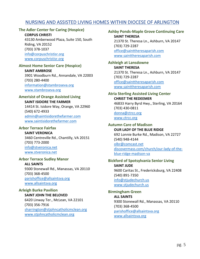# <span id="page-9-0"></span>NURSING AND ASSISTED LIVING HOMES WITHIN DIOCESE OF ARLINGTON

## <span id="page-9-1"></span>**The Adler Center for Caring (Hospice)**

**CORPUS CHRISTI** 43130 Amberwood Plaza, Suite 150, South Riding, VA 20152 (703) 378-1037 [info@corpuschristisr.org](mailto:info@corpuschristisr.org) [www.corpuschristisr.org](http://www.corpuschristisr.org/)

#### <span id="page-9-2"></span>**Almost Home Senior Care (Hospice) SAINT AMBROSE**

3901 Woodburn Rd., Annandale, VA 22003 (703) 280-4400 [information@stambroseva.org](mailto:information@stambroseva.org) [www.stambroseva.org](http://www.stambroseva.org/)

#### <span id="page-9-3"></span>**Amerisist of Orange Assisted Living SAINT ISIDORE THE FARMER**

14414 St. Isidore Way, Orange, VA 22960 (540) 672-4933 [admin@saintisidorethefarmer.com](mailto:admin@saintisidorethefarmer.com) [www.saintisidorethefarmer.com](http://www.saintisidorethefarmer.com/)

## <span id="page-9-4"></span>**Arbor Terrace Fairfax**

**SAINT VERONICA** 3460 Centreville Rd., Chantilly, VA 20151 (703) 773-2000 [info@stveronica.net](mailto:info@stveronica.net) [www.stveronica.net](http://www.stveronica.net/)

#### <span id="page-9-5"></span>**Arbor Terrace Sudley Manor**

**ALL SAINTS** 9300 Stonewall Rd., Manassas, VA 20110 (703) 368-4500 [parishoffice@allsaintsva.org](mailto:parishoffice@allsaintsva.org) [www.allsaintsva.org](http://www.allsaintsva.org/)

#### <span id="page-9-6"></span>**Arleigh Burke Pavilion SAINT JOHN THE BELOVED** 6420 Linway Ter., McLean, VA 22101 (703) 356-7916 [sharrington@stjohncatholicmclean.org](mailto:sharrington@stjohncatholicmclean.org) [www.stjohncatholicmclean.org](http://www.stjohncatholicmclean.org/)

<span id="page-9-7"></span>**Ashby Ponds-Maple Grove Continuing Care SAINT THERESA** 21370 St. Theresa Ln., Ashburn, VA 20147 (703) 729-2287 [office@sainttheresaparish.com](mailto:office@sainttheresaparish.com) [www.sainttheresaparish.com](http://www.sainttheresaparish.com/)

#### <span id="page-9-8"></span>**Ashleigh at Lansdowne SAINT THERESA** 21370 St. Theresa Ln., Ashburn, VA 20147 (703) 729-2287 [office@sainttheresaparish.com](mailto:office@sainttheresaparish.com) [www.sainttheresaparish.com](http://www.sainttheresaparish.com/)

## <span id="page-9-9"></span>**Atria Sterling Assisted Living Center CHRIST THE REDEEMER** 46833 Harry Byrd Hwy., Sterling, VA 20164 (703) 430-0811 [donna@ctrcc.org](mailto:donna@ctrcc.org) [www.ctrcc.org](http://www.ctrcc.org/)

## <span id="page-9-10"></span>**Autumn Care of Madison OUR LADY OF THE BLUE RIDGE** 692 Lonnie Burke Rd., Madison, VA 22727 (540) 948-4144 [olbr@comcast.net](mailto:olbr@comcast.net) discovermass.com/church/our-lady-of-theblue-ridge-madison-va

## <span id="page-9-11"></span>**Bickford of Spotsylvania Senior Living SAINT JUDE** 9600 Caritas St., Fredericksburg, VA 22408 (540) 891-7350 [info@stjudechurch.us](mailto:info@stjudechurch.us) [www.stjudechurch.us](http://www.stjudechurch.us/)

## <span id="page-9-12"></span>**Birmingham Green ALL SAINTS** 9300 Stonewall Rd., Manassas, VA 20110 (703) 368-4500 [parishoffice@allsaintsva.org](mailto:parishoffice@allsaintsva.org) [www.allsaintsva.org](http://www.allsaintsva.org/)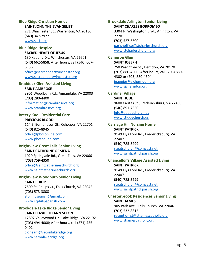#### <span id="page-10-0"></span>**Blue Ridge Christian Homes SAINT JOHN THE EVANGELIST**

271 Winchester St., Warrenton, VA 20186 (540) 347-2922 [www.sje1.org](http://www.sje1.org/)

<span id="page-10-1"></span>**Blue Ridge Hospice**

**SACRED HEART OF JESUS** 130 Keating Dr., Winchester, VA 22601 (540) 662-5858; After hours, call (540) 667- 6156 [office@sacredheartwinchester.org](mailto:office@sacredheartwinchester.org) [www.sacredheartwinchester.org](http://www.sacredheartwinchester.org/)

#### <span id="page-10-2"></span>**Braddock Glen Assisted Living**

**SAINT AMBROSE**

3901 Woodburn Rd., Annandale, VA 22003 (703) 280-4400 [information@stambroseva.org](mailto:information@stambroseva.org) [www.stambroseva.org](http://www.stambroseva.org/)

#### <span id="page-10-3"></span>**Breezy Knoll Residential Care**

**PRECIOUS BLOOD** 114 E. Edmondson St., Culpeper, VA 22701 (540) 825-8945 [office@pbcconline.com](mailto:office@pbcconline.com) [www.pbcconline.com](http://www.pbcconline.com/)

#### <span id="page-10-4"></span>**Brightview Great Falls Senior Living SAINT CATHERINE OF SIENA**

1020 Springvale Rd., Great Falls, VA 22066 (703) 759-4350 [office@saintcatherineschurch.org](mailto:office@saintcatherineschurch.org) [www.saintcatherineschurch.org](http://www.saintcatherineschurch.org/)

## <span id="page-10-5"></span>**Brightview Woodburn Senior Living**

**SAINT PHILIP** 7500 St. Philips Ct., Falls Church, VA 22042 (703) 573-3808 [stphilipsparish@gmail.com](mailto:stphilipsparish@gmail.com) [www.stphilipsparish.com](http://www.stphilipsparish.com/)

#### <span id="page-10-6"></span>**Brookdale Lake Ridge Senior Living SAINT ELIZABETH ANN SETON**

12807 Valleywood Dr., Lake Ridge, VA 22192 (703) 494-4008; After hours, call (571) 455- 0402 [c.ohearn@setonlakeridge.org](mailto:c.ohearn@setonlakeridge.org) [www.setonlakeridge.org](http://www.setonlakeridge.org/)

<span id="page-10-7"></span>**Brookdale Arlington Senior Living SAINT CHARLES BORROMEO** 3304 N. Washington Blvd., Arlington, VA 22201 (703) 527-5500 [parishoffice@stcharleschurch.org](mailto:parishoffice@stcharleschurch.org) [www.stcharleschurch.org](http://www.stcharleschurch.org/)

# <span id="page-10-8"></span>**Cameron Glen**

**SAINT JOSEPH** 750 Peachtree St., Herndon, VA 20170 (703) 880-4300; After hours, call (703) 880- 4302 or (703) 880-4304 [jnappier@sjcherndon.org](mailto:jnappier@sjcherndon.org) [www.sjcherndon.org](http://www.sjcherndon.org/)

#### <span id="page-10-9"></span>**Cardinal Village**

**SAINT JUDE** 9600 Caritas St., Fredericksburg, VA 22408 (540) 891-7350 [info@stjudechurch.us](mailto:info@stjudechurch.us) [www.stjudechurch.us](http://www.stjudechurch.us/)

#### <span id="page-10-10"></span>**Carriage Hill Nursing Home SAINT PATRICK** 9149 Elys Ford Rd., Fredericksburg, VA 22407

(540) 785-5299 [stpatschurch@comcast.net](mailto:stpatschurch@comcast.net) [www.saintpatrickparish.org](http://www.saintpatrickparish.org/)

#### <span id="page-10-11"></span>**Chancellor's Village Assisted Living SAINT PATRICK** 9149 Elys Ford Rd., Fredericksburg, VA 22407

(540) 785-5299 [stpatschurch@comcast.net](mailto:stpatschurch@comcast.net) [www.saintpatrickparish.org](http://www.saintpatrickparish.org/)

## <span id="page-10-12"></span>**Chesterbrook Residences Senior Living SAINT JAMES**

905 Park Ave., Falls Church, VA 22046 (703) 532-8815 [receptionist@stjamescatholic.org](mailto:receptionist@stjamescatholic.org) [www.stjamescatholic.org](http://www.stjamescatholic.org/)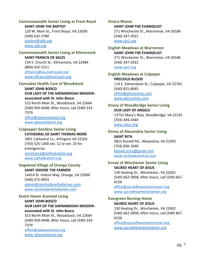# <span id="page-11-0"></span>**Commonwealth Senior Living at Front Royal**

**SAINT JOHN THE BAPTIST** 120 W. Main St., Front Royal, VA 22630 (540) 635-3780 [stjohns@sjtb.org](mailto:stjohns@sjtb.org) [www.sjtb.org](http://www.sjtb.org/)

#### <span id="page-11-1"></span>**Commonwealth Senior Living at Kilmarnock SAINT FRANCIS DE SALES**

154 E. Church St., Kilmarnock, VA 22484 (804) 435-1511 [stfrancis@va.metrocast.net](mailto:stfrancis@va.metrocast.net) [www.stfranciskilmarnock.org](http://www.stfranciskilmarnock.org/)

# <span id="page-11-2"></span>**Consulate Health Care of Woodstock**

## **SAINT JOHN BOSCO OUR LADY OF THE SHENANDOAH MISSION associated with St. John Bosco**

315 North Main St., Woodstock, VA 22664 (540) 459-4448; After hours, call (540) 333- 7379 [office@sjbwoodstock.org](mailto:office@sjbwoodstock.org)

[www.sjbwoodstock.org](http://www.sjbwoodstock.org/)

## <span id="page-11-3"></span>**Culpepper Gardens Senior Living**

**CATHEDRAL OF SAINT THOMAS MORE** 3901 Cathedral Ln., Arlington VA 22203 (703) 525-1300 ext. 12 or ext. 23 for emergencies [secretary1@cathedralstm.org](mailto:secretary1@cathedralstm.org) [www.cathedralstm.org](http://www.cathedralstm.org/)

# <span id="page-11-4"></span>**Dogwood Village of Orange County**

**SAINT ISIDORE THE FARMER** 14414 St. Isidore Way, Orange, VA 22960

(540) 672-4933 [admin@saintisidorethefarmer.com](mailto:admin@saintisidorethefarmer.com) [www.saintisidorethefarmer.com](http://www.saintisidorethefarmer.com/)

## <span id="page-11-5"></span>**Dutch Haven Assisted Living**

**SAINT JOHN BOSCO OUR LADY OF THE SHENANDOAH MISSION associated with St. John Bosco** 315 North Main St., Woodstock, VA 22664 (540) 459-4448; After hours, call (540) 333- 7379 [office@sjbwoodstock.org](mailto:office@sjbwoodstock.org) [www.sjbwoodstock.org](http://www.sjbwoodstock.org/)

## <span id="page-11-6"></span>**Elnora Manor**

**SAINT JOHN THE EVANGELIST** 271 Winchester St., Warrenton, VA 20186 (540) 347-2922 [www.sje1.org](http://www.sje1.org/)

#### <span id="page-11-7"></span>**English Meadows at Warrenton SAINT JOHN THE EVANGELIST**

271 Winchester St., Warrenton, VA 20186 (540) 347-2922 [www.sje1.org](http://www.sje1.org/)

## <span id="page-11-8"></span>**English Meadows at Culpeper PRECIOUS BLOOD** 114 E. Edmondson St., Culpeper, VA 22701 (540) 825-8945 [office@pbcconline.com](mailto:office@pbcconline.com) [www.pbcconline.com](http://www.pbcconline.com/)

## <span id="page-11-9"></span>**Envoy of Woodbridge Senior Living OUR LADY OF ANGELS** 13752 Mary's Way, Woodbridge, VA 22191 (703) 494-2444 [www.olacc.org](http://www.olacc.org/)

#### <span id="page-11-10"></span>**Envoy of Alexandria Senior Living SAINT RITA**

3815 Russell Rd., Alexandria, VA 22305 (703) 836-1640 [kblank.strita@gmail.com](mailto:kblank.strita@gmail.com) [www.stritaalexandria.com](http://www.stritaalexandria.com/)

#### <span id="page-11-11"></span>**Envoy of Winchester Senior Living SACRED HEART OF JESUS**

130 Keating Dr., Winchester, VA 22601 (540) 662-5858; After hours, call (540) 667- 6156

[office@sacredheartwinchester.org](mailto:office@sacredheartwinchester.org) [www.sacredheartwinchester.org](http://www.sacredheartwinchester.org/)

# <span id="page-11-12"></span>**Evergreen Nursing Home**

## **SACRED HEART OF JESUS**

130 Keating Dr., Winchester, VA 22601 (540) 662-5858; After hours, call (540) 667- 6156

[office@sacredheartwinchester.org](mailto:office@sacredheartwinchester.org) [www.sacredheartwinchester.org](http://www.sacredheartwinchester.org/)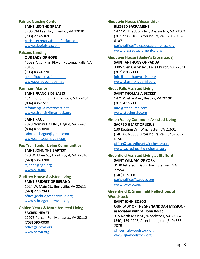## <span id="page-12-0"></span>**Fairfax Nursing Center**

**SAINT LEO THE GREAT**

3700 Old Lee Hwy., Fairfax, VA 22030 (703) 273-5369 [parishsecretary@stleofairfax.com](mailto:parishsecretary@stleofairfax.com) [www.stleofairfax.com](http://www.stleofairfax.com/)

## <span id="page-12-1"></span>**Falcons Landing**

**OUR LADY OF HOPE** 46639 Algonkian Pkwy., Potomac Falls, VA 20165 (703) 433-6770 [hello@ourladyofhope.net](mailto:hello@ourladyofhope.net) [www.ourladyofhope.net](http://www.ourladyofhope.net/)

#### <span id="page-12-2"></span>**Farnham Manor**

#### **SAINT FRANCIS DE SALES**

154 E. Church St., Kilmarnock, VA 22484 (804) 435-1511 [stfrancis@va.metrocast.net](mailto:stfrancis@va.metrocast.net) [www.stfranciskilmarnock.org](http://www.stfranciskilmarnock.org/)

#### **SAINT PAUL**

7070 Nomini Hall Rd., Hague, VA 22469 (804) 472-3090 [saintpaulhague@gmail.com](mailto:saintpaulhague@gmail.com) [www.saintpaulhague.com](http://www.saintpaulhague.com/)

#### <span id="page-12-3"></span>**Fox Trail Senior Living Communities SAINT JOHN THE BAPTIST**

120 W. Main St., Front Royal, VA 22630 (540) 635-3780 [stjohns@sjtb.org](mailto:stjohns@sjtb.org) [www.sjtb.org](http://www.sjtb.org/)

## <span id="page-12-4"></span>**Godfrey House Assisted living**

**SAINT BRIDGET OF IRELAND** 1024 W. Main St., Berryville, VA 22611 (540) 227-2943 [office@stbridgetberryville.org](mailto:office@stbridgetberryville.org) [www.stbridgetberryville.org](http://www.stbridgetberryville.org/)

## <span id="page-12-5"></span>**Golden Years & More Assisted Living**

#### **SACRED HEART**

12975 Purcell Rd., Manassas, VA 20112 (703) 590-0030 [office@shcva.org](mailto:office@shcva.org) [www.shcva.org](http://www.shcva.org/)

<span id="page-12-6"></span>**Goodwin House (Alexandria) BLESSED SACRAMENT** 1427 W. Braddock Rd., Alexandria, VA 22302 (703) 998-6100; After hours, call (703) 998- 6107 [parishoffice@blessedsacramentcc.org](mailto:parishoffice@blessedsacramentcc.org)

[www.blessedsacramentcc.org](http://www.blessedsacramentcc.org/)

#### <span id="page-12-7"></span>**Goodwin House (Bailey's Crossroads) SAINT ANTHONY OF PADUA**

3305 Glen Carlyn Rd., Falls Church, VA 22041 (703) 820-7111 [info@stanthonyparish.org](mailto:info@stanthonyparish.org) [www.stanthonyparish.org](http://www.stanthonyparish.org/)

## <span id="page-12-8"></span>**Great Falls Assisted Living SAINT THOMAS À BECKET**

1421 Wiehle Ave., Reston, VA 20190 (703) 437-7113 [info@stbchurch.com](mailto:info@stbchurch.com) [www.stbchurch.com](http://www.stbchurch.com/)

#### <span id="page-12-9"></span>**Green Valley Commons Assisted Living SACRED HEART OF JESUS**

130 Keating Dr., Winchester, VA 22601 (540) 662-5858; After hours, call (540) 667- 6156

[office@sacredheartwinchester.org](mailto:office@sacredheartwinchester.org) [www.sacredheartwinchester.org](http://www.sacredheartwinchester.org/)

#### <span id="page-12-10"></span>**Greenfield Assisted Living at Stafford SAINT WILLIAM OF YORK** 3130 Jefferson Davis Hwy., Stafford, VA

22554 (540) 659-1102 [parishoffice@swoycc.org](mailto:parishoffice@swoycc.org) [www.swoycc.org](http://www.swoycc.org/)

#### <span id="page-12-11"></span>**Greenfield & Greenfield Reflections of Woodstock**

**SAINT JOHN BOSCO OUR LADY OF THE SHENANDOAH MISSION associated with St. John Bosco** 315 North Main St., Woodstock, VA 22664 (540) 459-4448; After hours, call (540) 333- 7379 [office@sjbwoodstock.org](mailto:office@sjbwoodstock.org) [www.sjbwoodstock.org](http://www.sjbwoodstock.org/)

pg. 8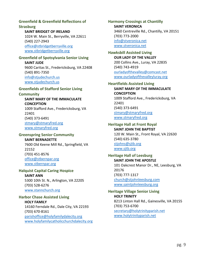#### <span id="page-13-0"></span>**Greenfield & Greenfield Reflections of Strasburg**

**SAINT BRIDGET OF IRELAND** 1024 W. Main St., Berryville, VA 22611 (540) 227-2943 [office@stbridgetberryville.org](mailto:office@stbridgetberryville.org) [www.stbridgetberryville.org](http://www.stbridgetberryville.org/)

# <span id="page-13-1"></span>**Greenfield of Spotsylvania Senior Living**

**SAINT JUDE** 9600 Caritas St., Fredericksburg, VA 22408 (540) 891-7350 [info@stjudechurch.us](mailto:info@stjudechurch.us) [www.stjudechurch.us](http://www.stjudechurch.us/)

#### <span id="page-13-2"></span>**Greenfields of Stafford Senior Living**

#### **Community**

**SAINT MARY OF THE IMMACULATE CONCEPTION** 1009 Stafford Ave., Fredericksburg, VA 22401 (540) 373-6491 [stmary@stmaryfred.org](mailto:stmary@stmaryfred.org) [www.stmaryfred.org](http://www.stmaryfred.org/)

## <span id="page-13-3"></span>**Greenspring Senior Community**

**SAINT BERNADETTE** 7600 Old Keene Mill Rd., Springfield, VA 22152 (703) 451-8576 [office@stbernpar.org](mailto:office@stbernpar.org) [www.stbernpar.org](http://www.stbernpar.org/)

## <span id="page-13-4"></span>**Halquist Capital Caring Hospice SAINT ANN** 5300 10th St. N., Arlington, VA 22205

(703) 528-6276 [www.stannchurch.org](http://www.stannchurch.org/)

## <span id="page-13-5"></span>**Harbor Chase Assisted Living HOLY FAMILY** 14160 Ferndale Rd., Dale City, VA 22193 (703) 670-8161 [parishoffice@holyfamilydalecity.org](mailto:parishoffice@holyfamilydalecity.org) [www.holyfamilycatholicchurchdalecity.org](http://www.holyfamilycatholicchurchdalecity.org/)

<span id="page-13-6"></span>**Harmony Crossings at Chantilly SAINT VERONICA** 3460 Centreville Rd., Chantilly, VA 20151 (703) 773-2000 [info@stveronica.net](mailto:info@stveronica.net) [www.stveronica.net](http://www.stveronica.net/)

#### <span id="page-13-7"></span>**Hawksbill Assisted Living OUR LADY OF THE VALLEY** 200 Collins Ave., Luray, VA 22835 (540) 743-4919 [ourladyofthevalley@comcast.net](mailto:ourladyofthevalley@comcast.net)

[www.ourladyofthevalleyluray.org](http://www.ourladyofthevalleyluray.org/)

# <span id="page-13-8"></span>**Heartfields Assisted Living**

**SAINT MARY OF THE IMMACULATE CONCEPTION** 1009 Stafford Ave., Fredericksburg, VA 22401 (540) 373-6491 [stmary@stmaryfred.org](mailto:stmary@stmaryfred.org) [www.stmaryfred.org](http://www.stmaryfred.org/)

# <span id="page-13-9"></span>**Heritage Hall at Front Royal**

**SAINT JOHN THE BAPTIST** 120 W. Main St., Front Royal, VA 22630 (540) 635-3780 [stjohns@sjtb.org](mailto:stjohns@sjtb.org) [www.sjtb.org](http://www.sjtb.org/)

#### <span id="page-13-10"></span>**Heritage Hall of Leesburg SAINT JOHN THE APOSTLE** 101 Oakcrest Manor Dr., NE, Leesburg, VA 20176 (703) 777-1317

[church@stjohnleesburg.com](mailto:church@stjohnleesburg.com) [www.saintjohnleesburg.org](http://www.saintjohnleesburg.org/)

## <span id="page-13-11"></span>**Heritage Village Senior Living HOLY TRINITY** 8213 Linton Hall Rd., Gainesville, VA 20155 (703) 753-6700

[secretary@holytrinityparish.net](mailto:secretary@holytrinityparish.net) [www.holytrinityparish.net](http://www.holytrinityparish.net/)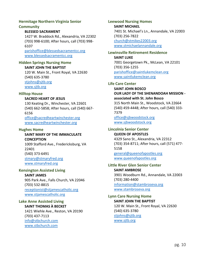#### <span id="page-14-0"></span>**Hermitage Northern Virginia Senior Community**

## **BLESSED SACRAMENT**

1427 W. Braddock Rd., Alexandria, VA 22302 (703) 998-6100; After hours, call (703) 998- 6107 [parishoffice@blessedsacramentcc.org](mailto:parishoffice@blessedsacramentcc.org) [www.blessedsacramentcc.org](http://www.blessedsacramentcc.org/)

<span id="page-14-1"></span>**Hidden Springs Nursing Home**

**SAINT JOHN THE BAPTIST** 120 W. Main St., Front Royal, VA 22630 (540) 635-3780 [stjohns@sjtb.org](mailto:stjohns@sjtb.org) [www.sjtb.org](http://www.sjtb.org/)

#### <span id="page-14-2"></span>**Hilltop House**

#### **SACRED HEART OF JESUS**

130 Keating Dr., Winchester, VA 22601 (540) 662-5858; After hours, call (540) 667- 6156

[office@sacredheartwinchester.org](mailto:office@sacredheartwinchester.org) [www.sacredheartwinchester.org](http://www.sacredheartwinchester.org/)

#### <span id="page-14-3"></span>**Hughes Home**

#### **SAINT MARY OF THE IMMACULATE CONCEPTION**

1009 Stafford Ave., Fredericksburg, VA 22401 (540) 373-6491 [stmary@stmaryfred.org](mailto:stmary@stmaryfred.org) [www.stmaryfred.org](http://www.stmaryfred.org/)

#### <span id="page-14-4"></span>**Kensington Assisted Living**

**SAINT JAMES** 905 Park Ave., Falls Church, VA 22046 (703) 532-8815 [receptionist@stjamescatholic.org](mailto:receptionist@stjamescatholic.org) [www.stjamescatholic.org](http://www.stjamescatholic.org/)

#### <span id="page-14-5"></span>**Lake Anne Assisted Living SAINT THOMAS À BECKET**

1421 Wiehle Ave., Reston, VA 20190 (703) 437-7113 [info@stbchurch.com](mailto:info@stbchurch.com) [www.stbchurch.com](http://www.stbchurch.com/)

## <span id="page-14-6"></span>**Leewood Nursing Homes SAINT MICHAEL** 7401 St. Michael's Ln., Annandale, VA 22003 (703) 256-7822 [church@stmikes22003.org](mailto:church@stmikes22003.org) [www.stmichaelannandale.org](http://www.stmichaelannandale.org/)

## <span id="page-14-7"></span>**Lewinsville Retirement Residence SAINT LUKE** 7001 Georgetown Pk., McLean, VA 22101 (703) 356-1255 [parishoffice@saintlukemclean.org](mailto:parishoffice@saintlukemclean.org) [www.saintlukemclean.org](http://www.saintlukemclean.org/)

#### <span id="page-14-8"></span>**Life Care Center**

## **SAINT JOHN BOSCO OUR LADY OF THE SHENANDOAH MISSION associated with St. John Bosco**

315 North Main St., Woodstock, VA 22664 (540) 459-4448; After hours, call (540) 333- 7379

[office@sjbwoodstock.org](mailto:office@sjbwoodstock.org) [www.sjbwoodstock.org](http://www.sjbwoodstock.org/)

## <span id="page-14-9"></span>**Lincolnia Senior Center**

#### **QUEEN OF APOSTLES** 4329 Sano St., Alexandria, VA 22312 (703) 354-8711; After hours, call (571) 477- 5158 [general@queenofapostles.org](mailto:general@queenofapostles.org)

[www.queenofapostles.org](http://www.queenofapostles.org/)

#### <span id="page-14-10"></span>**Little River Glen Senior Center SAINT AMBROSE**

3901 Woodburn Rd., Annandale, VA 22003 (703) 280-4400 [information@stambroseva.org](mailto:information@stambroseva.org) [www.stambroseva.org](http://www.stambroseva.org/)

## <span id="page-14-11"></span>**Lynn Care Nursing Home SAINT JOHN THE BAPTIST**

120 W. Main St., Front Royal, VA 22630 (540) 635-3780 [stjohns@sjtb.org](mailto:stjohns@sjtb.org) [www.sjtb.org](http://www.sjtb.org/)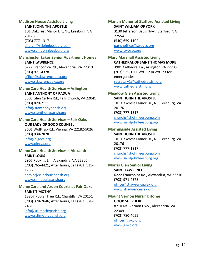#### <span id="page-15-0"></span>**Madison House Assisted Living**

#### **SAINT JOHN THE APOSTLE**

101 Oakcrest Manor Dr., NE, Leesburg, VA 20176 (703) 777-1317 [church@stjohnleesburg.com](mailto:church@stjohnleesburg.com) [www.saintjohnleesburg.org](http://www.saintjohnleesburg.org/)

#### <span id="page-15-1"></span>**Manchester Lakes Senior Apartment Homes**

**SAINT LAWRENCE** 6222 Franconica Rd., Alexandria, VA 22310 (703) 971-4378 [office@stlawrencealex.org](mailto:office@stlawrencealex.org) [www.stlawrencealex.org](http://www.stlawrencealex.org/)

#### <span id="page-15-2"></span>**ManorCare Health Services – Arlington**

**SAINT ANTHONY OF PADUA** 3305 Glen Carlyn Rd., Falls Church, VA 22041 (703) 820-7111 [info@stanthonyparish.org](mailto:info@stanthonyparish.org) [www.stanthonyparish.org](http://www.stanthonyparish.org/)

#### <span id="page-15-3"></span>**ManorCare Health Services – Fair Oaks OUR LADY OF GOOD COUNSEL**

8601 Wolftrap Rd., Vienna, VA 22182-5026 (703) 938-2828 [info@olgcva.org](mailto:info@olgcva.org) [www.olgcva.org](http://www.olgcva.org/)

#### <span id="page-15-4"></span>**ManorCare Health Services – Alexandria SAINT LOUIS**

2907 Popkins Ln., Alexandria, VA 22306 (703) 765-4421; After hours, call (703) 535- 1756 [admin@saintlouisparish.org](mailto:admin@saintlouisparish.org) [www.saintlouisparish.org](http://www.saintlouisparish.org/)

#### <span id="page-15-5"></span>**ManorCare and Arden Courts at Fair Oaks SAINT TIMOTHY**

13807 Poplar Tree Rd., Chantilly, VA 20151 (703) 378-7646; After hours, call (703) 378- 7461 [info@sttimothyparish.org](mailto:info@sttimothyparish.org) [www.sttimothyparish.org](http://www.sttimothyparish.org/)

<span id="page-15-6"></span>**Marian Manor of Stafford Assisted Living SAINT WILLIAM OF YORK**

3130 Jefferson Davis Hwy., Stafford, VA 22554 (540) 659-1102 [parishoffice@swoycc.org](mailto:parishoffice@swoycc.org) [www.swoycc.org](http://www.swoycc.org/)

## <span id="page-15-7"></span>**Mary Marshall Assisted Living**

**CATHEDRAL OF SAINT THOMAS MORE** 3901 Cathedral Ln., Arlington VA 22203 (703) 525-1300 ext. 12 or ext. 23 for emergencies [secretary1@cathedralstm.org](mailto:secretary1@cathedralstm.org) [www.cathedralstm.org](http://www.cathedralstm.org/)

#### <span id="page-15-8"></span>**Meadow Glen Assisted Living SAINT JOHN THE APOSTLE**

101 Oakcrest Manor Dr., NE, Leesburg, VA 20176 (703) 777-1317 [church@stjohnleesburg.com](mailto:church@stjohnleesburg.com) [www.saintjohnleesburg.org](http://www.saintjohnleesburg.org/)

# <span id="page-15-9"></span>**Morningside Assisted Living**

**SAINT JOHN THE APOSTLE** 101 Oakcrest Manor Dr., NE, Leesburg, VA 20176 (703) 777-1317 [church@stjohnleesburg.com](mailto:church@stjohnleesburg.com) [www.saintjohnleesburg.org](http://www.saintjohnleesburg.org/)

#### <span id="page-15-10"></span>**Morris Glen Senior Living SAINT LAWRENCE**

6222 Franconica Rd., Alexandria, VA 22310 (703) 971-4378 [office@stlawrencealex.org](mailto:office@stlawrencealex.org) [www.stlawrencealex.org](http://www.stlawrencealex.org/)

#### <span id="page-15-11"></span>**Mount Vernon Nursing Home GOOD SHEPHERD** 8710 Mt. Vernon Hwy., Alexandria, VA

22309 (703) 780-4055 [office@gs-cc.org](mailto:office@gs-cc.org) [www.gs-cc.org](http://www.gs-cc.org/)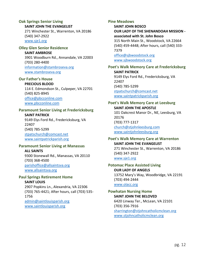# <span id="page-16-0"></span>**Oak Springs Senior Living**

**SAINT JOHN THE EVANGELIST**

271 Winchester St., Warrenton, VA 20186 (540) 347-2922 [www.sje1.org](http://www.sje1.org/)

#### <span id="page-16-1"></span>**Olley Glen Senior Residence**

**SAINT AMBROSE** 3901 Woodburn Rd., Annandale, VA 22003 (703) 280-4400 [information@stambroseva.org](mailto:information@stambroseva.org) [www.stambroseva.org](http://www.stambroseva.org/)

#### <span id="page-16-2"></span>**Our Father's House PRECIOUS BLOOD**

114 E. Edmondson St., Culpeper, VA 22701 (540) 825-8945 [office@pbcconline.com](mailto:office@pbcconline.com) [www.pbcconline.com](http://www.pbcconline.com/)

## <span id="page-16-3"></span>**Paramount Senior Living at Fredericksburg**

**SAINT PATRICK** 9149 Elys Ford Rd., Fredericksburg, VA 22407 (540) 785-5299 [stpatschurch@comcast.net](mailto:stpatschurch@comcast.net) [www.saintpatrickparish.org](http://www.saintpatrickparish.org/)

## <span id="page-16-4"></span>**Paramount Senior Living at Manassas**

**ALL SAINTS** 9300 Stonewall Rd., Manassas, VA 20110 (703) 368-4500 [parishoffice@allsaintsva.org](mailto:parishoffice@allsaintsva.org) [www.allsaintsva.org](http://www.allsaintsva.org/)

#### <span id="page-16-5"></span>**Paul Springs Retirement Home SAINT LOUIS**

2907 Popkins Ln., Alexandria, VA 22306 (703) 765-4421; After hours, call (703) 535- 1756 [admin@saintlouisparish.org](mailto:admin@saintlouisparish.org) [www.saintlouisparish.org](http://www.saintlouisparish.org/)

#### <span id="page-16-6"></span>**Pine Meadows**

**SAINT JOHN BOSCO OUR LADY OF THE SHENANDOAH MISSION associated with St. John Bosco** 315 North Main St., Woodstock, VA 22664 (540) 459-4448; After hours, call (540) 333- 7379 [office@sjbwoodstock.org](mailto:office@sjbwoodstock.org) [www.sjbwoodstock.org](http://www.sjbwoodstock.org/)

# <span id="page-16-7"></span>**Poet's Walk Memory Care at Fredericksburg SAINT PATRICK**

9149 Elys Ford Rd., Fredericksburg, VA 22407 (540) 785-5299 [stpatschurch@comcast.net](mailto:stpatschurch@comcast.net) [www.saintpatrickparish.org](http://www.saintpatrickparish.org/)

## <span id="page-16-8"></span>**Poet's Walk Memory Care at Leesburg SAINT JOHN THE APOSTLE** 101 Oakcrest Manor Dr., NE, Leesburg, VA

20176 (703) 777-1317 [church@stjohnleesburg.com](mailto:church@stjohnleesburg.com) [www.saintjohnleesburg.org](http://www.saintjohnleesburg.org/)

#### <span id="page-16-9"></span>**Poet's Walk Memory Care at Warrenton SAINT JOHN THE EVANGELIST** 271 Winchester St., Warrenton, VA 20186 (540) 347-2922 [www.sje1.org](http://www.sje1.org/)

#### <span id="page-16-10"></span>**Potomac Place Assisted Living OUR LADY OF ANGELS** 13752 Mary's Way, Woodbridge, VA 22191

(703) 494-2444 [www.olacc.org](http://www.olacc.org/)

## <span id="page-16-11"></span>**Powhatan Nursing Home SAINT JOHN THE BELOVED** 6420 Linway Ter., McLean, VA 22101 (703) 356-7916

[sharrington@stjohncatholicmclean.org](mailto:sharrington@stjohncatholicmclean.org) [www.stjohncatholicmclean.org](http://www.stjohncatholicmclean.org/)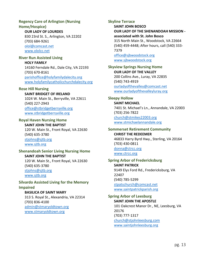# <span id="page-17-0"></span>**Regency Care of Arlington (Nursing**

**Home/Hospice) OUR LADY OF LOURDES**

830 23rd St. S., Arlington, VA 22202 (703) 684-9261 [olol@comcast.net](mailto:olol@comcast.net) [www.ololcc.net](http://www.ololcc.net/)

<span id="page-17-1"></span>**River Run Assisted Living HOLY FAMILY** 14160 Ferndale Rd., Dale City, VA 22193 (703) 670-8161 [parishoffice@holyfamilydalecity.org](mailto:parishoffice@holyfamilydalecity.org) [www.holyfamilycatholicchurchdalecity.org](http://www.holyfamilycatholicchurchdalecity.org/)

#### <span id="page-17-2"></span>**Rose Hill Nursing**

**SAINT BRIDGET OF IRELAND** 1024 W. Main St., Berryville, VA 22611 (540) 227-2943 [office@stbridgetberryville.org](mailto:office@stbridgetberryville.org) [www.stbridgetberryville.org](http://www.stbridgetberryville.org/)

<span id="page-17-3"></span>**Royal Haven Nursing Home SAINT JOHN THE BAPTIST** 120 W. Main St., Front Royal, VA 22630 (540) 635-3780 [stjohns@sjtb.org](mailto:stjohns@sjtb.org) [www.sjtb.org](http://www.sjtb.org/)

<span id="page-17-4"></span>**Shenandoah Senior Living Nursing Home SAINT JOHN THE BAPTIST** 120 W. Main St., Front Royal, VA 22630

(540) 635-3780 [stjohns@sjtb.org](mailto:stjohns@sjtb.org) [www.sjtb.org](http://www.sjtb.org/)

<span id="page-17-5"></span>**Silvardo Assisted Living for the Memory Impaired**

**BASILICA OF SAINT MARY** 313 S. Royal St., Alexandria, VA 22314 (703) 836-4100 [admin@stmaryoldtown.org](mailto:admin@stmaryoldtown.org) [www.stmaryoldtown.org](http://www.stmaryoldtown.org/)

## <span id="page-17-6"></span>**Skyline Terrace**

**SAINT JOHN BOSCO OUR LADY OF THE SHENANDOAH MISSION associated with St. John Bosco** 315 North Main St., Woodstock, VA 22664 (540) 459-4448; After hours, call (540) 333- 7379 [office@sjbwoodstock.org](mailto:office@sjbwoodstock.org) [www.sjbwoodstock.org](http://www.sjbwoodstock.org/)

<span id="page-17-7"></span>**Skyview Springs Nursing Home OUR LADY OF THE VALLEY** 200 Collins Ave., Luray, VA 22835 (540) 743-4919 [ourladyofthevalley@comcast.net](mailto:ourladyofthevalley@comcast.net)

[www.ourladyofthevalleyluray.org](http://www.ourladyofthevalleyluray.org/)

#### <span id="page-17-8"></span>**Sleepy Hollow**

**SAINT MICHAEL** 7401 St. Michael's Ln., Annandale, VA 22003 (703) 256-7822 [church@stmikes22003.org](mailto:church@stmikes22003.org) [www.stmichaelannandale.org](http://www.stmichaelannandale.org/)

<span id="page-17-9"></span>**Sommerset Retirement Community CHRIST THE REDEEMER** 46833 Harry Byrd Hwy., Sterling, VA 20164 (703) 430-0811 [donna@ctrcc.org](mailto:donna@ctrcc.org) [www.ctrcc.org](http://www.ctrcc.org/)

<span id="page-17-10"></span>**Spring Arbor of Fredericksburg SAINT PATRICK** 9149 Elys Ford Rd., Fredericksburg, VA 22407 (540) 785-5299 [stpatschurch@comcast.net](mailto:stpatschurch@comcast.net) [www.saintpatrickparish.org](http://www.saintpatrickparish.org/)

<span id="page-17-11"></span>**Spring Arbor of Leesburg SAINT JOHN THE APOSTLE** 101 Oakcrest Manor Dr., NE, Leesburg, VA 20176 (703) 777-1317 [church@stjohnleesburg.com](mailto:church@stjohnleesburg.com) [www.saintjohnleesburg.org](http://www.saintjohnleesburg.org/)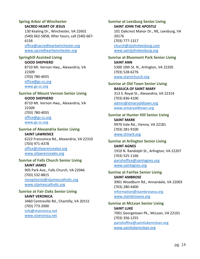# <span id="page-18-0"></span>**Spring Arbor of Winchester**

#### **SACRED HEART OF JESUS**

130 Keating Dr., Winchester, VA 22601 (540) 662-5858; After hours, call (540) 667- 6156 [office@sacredheartwinchester.org](mailto:office@sacredheartwinchester.org) [www.sacredheartwinchester.org](http://www.sacredheartwinchester.org/)

### <span id="page-18-1"></span>**Springhill Assisted Living**

#### **GOOD SHEPHERD**

8710 Mt. Vernon Hwy., Alexandria, VA 22309 (703) 780-4055 [office@gs-cc.org](mailto:office@gs-cc.org) [www.gs-cc.org](http://www.gs-cc.org/)

#### <span id="page-18-2"></span>**Sunrise of Mount Vernon Senior Living**

**GOOD SHEPHERD** 8710 Mt. Vernon Hwy., Alexandria, VA 22309 (703) 780-4055 [office@gs-cc.org](mailto:office@gs-cc.org) [www.gs-cc.org](http://www.gs-cc.org/)

## <span id="page-18-3"></span>**Sunrise of Alexandria Senior Living**

## **SAINT LAWRENCE** 6222 Franconica Rd., Alexandria, VA 22310 (703) 971-4378 [office@stlawrencealex.org](mailto:office@stlawrencealex.org) [www.stlawrencealex.org](http://www.stlawrencealex.org/)

#### <span id="page-18-4"></span>**Sunrise of Falls Church Senior Living**

#### **SAINT JAMES** 905 Park Ave., Falls Church, VA 22046 (703) 532-8815 [receptionist@stjamescatholic.org](mailto:receptionist@stjamescatholic.org)

[www.stjamescatholic.org](http://www.stjamescatholic.org/)

## <span id="page-18-5"></span>**Sunrise at Fair Oaks Senior Living**

**SAINT VERONICA** 3460 Centreville Rd., Chantilly, VA 20151 (703) 773-2000 [info@stveronica.net](mailto:info@stveronica.net) [www.stveronica.net](http://www.stveronica.net/)

<span id="page-18-6"></span>**Sunrise at Leesburg Senior Living SAINT JOHN THE APOSTLE** 101 Oakcrest Manor Dr., NE, Leesburg, VA 20176 (703) 777-1317 [church@stjohnleesburg.com](mailto:church@stjohnleesburg.com) [www.saintjohnleesburg.org](http://www.saintjohnleesburg.org/)

#### <span id="page-18-7"></span>**Sunrise at Bluemont Park Senior Living SAINT ANN** 5300 10th St. N., Arlington, VA 22205 (703) 528-6276

[www.stannchurch.org](http://www.stannchurch.org/)

#### <span id="page-18-8"></span>**Sunrise at Old Town Senior Living BASILICA OF SAINT MARY** 313 S. Royal St., Alexandria, VA 22314 (703) 836-4100 [admin@stmaryoldtown.org](mailto:admin@stmaryoldtown.org)

[www.stmaryoldtown.org](http://www.stmaryoldtown.org/)

# <span id="page-18-9"></span>**Sunrise at Hunter Hill Senior Living SAINT MARK** 9970 Vale Rd., Vienna, VA 22181 (703) 281-9100 [www.stmark.org](http://www.stmark.org/)

#### <span id="page-18-10"></span>**Sunrise at Arlington Senior Living SAINT AGNES** 1910 N. Randolph St., Arlington, VA 22207 (703) 525-1166 [parishoffice@saintagnes.org](mailto:parishoffice@saintagnes.org)

[www.saintagnes.org](http://www.saintagnes.org/)

#### <span id="page-18-11"></span>**Sunrise at Fairfax Senior Living SAINT AMBROSE** 3901 Woodburn Rd., Annandale, VA 22003 (703) 280-4400 [information@stambroseva.org](mailto:information@stambroseva.org) [www.stambroseva.org](http://www.stambroseva.org/)

## <span id="page-18-12"></span>**Sunrise at McLean Senior Living SAINT LUKE** 7001 Georgetown Pk., McLean, VA 22101 (703) 356-1255 [parishoffice@saintlukemclean.org](mailto:parishoffice@saintlukemclean.org) [www.saintlukemclean.org](http://www.saintlukemclean.org/)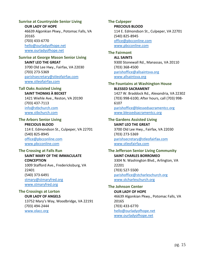## <span id="page-19-0"></span>**Sunrise at Countryside Senior Living**

**OUR LADY OF HOPE**

46639 Algonkian Pkwy., Potomac Falls, VA 20165 (703) 433-6770 [hello@ourladyofhope.net](mailto:hello@ourladyofhope.net) [www.ourladyofhope.net](http://www.ourladyofhope.net/)

## <span id="page-19-1"></span>**Sunrise at George Mason Senior Living**

**SAINT LEO THE GREAT** 3700 Old Lee Hwy., Fairfax, VA 22030 (703) 273-5369 [parishsecretary@stleofairfax.com](mailto:parishsecretary@stleofairfax.com) [www.stleofairfax.com](http://www.stleofairfax.com/)

## <span id="page-19-2"></span>**Tall Oaks Assisted Living**

**SAINT THOMAS À BECKET** 1421 Wiehle Ave., Reston, VA 20190 (703) 437-7113 [info@stbchurch.com](mailto:info@stbchurch.com) [www.stbchurch.com](http://www.stbchurch.com/)

<span id="page-19-3"></span>**The Arbors Senior Living PRECIOUS BLOOD** 114 E. Edmondson St., Culpeper, VA 22701 (540) 825-8945 [office@pbcconline.com](mailto:office@pbcconline.com) [www.pbcconline.com](http://www.pbcconline.com/)

## <span id="page-19-4"></span>**The Crossing at Falls Run SAINT MARY OF THE IMMACULATE CONCEPTION** 1009 Stafford Ave., Fredericksburg, VA 22401

(540) 373-6491 [stmary@stmaryfred.org](mailto:stmary@stmaryfred.org) [www.stmaryfred.org](http://www.stmaryfred.org/)

## <span id="page-19-5"></span>**The Crossings at Lorton OUR LADY OF ANGELS** 13752 Mary's Way, Woodbridge, VA 22191 (703) 494-2444 [www.olacc.org](http://www.olacc.org/)

## <span id="page-19-6"></span>**The Culpeper PRECIOUS BLOOD** 114 E. Edmondson St., Culpeper, VA 22701 (540) 825-8945 [office@pbcconline.com](mailto:office@pbcconline.com) [www.pbcconline.com](http://www.pbcconline.com/)

#### <span id="page-19-7"></span>**The Fairmont ALL SAINTS** 9300 Stonewall Rd., Manassas, VA 20110 (703) 368-4500 [parishoffice@allsaintsva.org](mailto:parishoffice@allsaintsva.org) [www.allsaintsva.org](http://www.allsaintsva.org/)

<span id="page-19-8"></span>**The Fountains at Washington House BLESSED SACRAMENT** 1427 W. Braddock Rd., Alexandria, VA 22302 (703) 998-6100; After hours, call (703) 998- 6107 [parishoffice@blessedsacramentcc.org](mailto:parishoffice@blessedsacramentcc.org) [www.blessedsacramentcc.org](http://www.blessedsacramentcc.org/)

#### <span id="page-19-9"></span>**The Gardens Assisted Living SAINT LEO THE GREAT**

3700 Old Lee Hwy., Fairfax, VA 22030 (703) 273-5369 [parishsecretary@stleofairfax.com](mailto:parishsecretary@stleofairfax.com) [www.stleofairfax.com](http://www.stleofairfax.com/)

# <span id="page-19-10"></span>**The Jefferson Senior Living Community SAINT CHARLES BORROMEO**

3304 N. Washington Blvd., Arlington, VA 22201 (703) 527-5500 [parishoffice@stcharleschurch.org](mailto:parishoffice@stcharleschurch.org) [www.stcharleschurch.org](http://www.stcharleschurch.org/)

# <span id="page-19-11"></span>**The Johnson Center**

**OUR LADY OF HOPE** 46639 Algonkian Pkwy., Potomac Falls, VA 20165 (703) 433-6770 [hello@ourladyofhope.net](mailto:hello@ourladyofhope.net) [www.ourladyofhope.net](http://www.ourladyofhope.net/)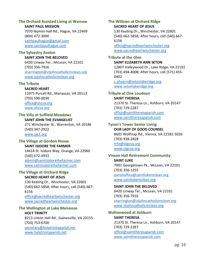## <span id="page-20-0"></span>**The Orchard Assisted Living at Warsaw**

**SAINT PAUL MISSION**

7070 Nomini Hall Rd., Hague, VA 22469 (804) 472-3090 [saintpaulhague@gmail.com](mailto:saintpaulhague@gmail.com) [www.saintpaulhague.com](http://www.saintpaulhague.com/)

#### <span id="page-20-1"></span>**The Sylvestry Avalon**

**SAINT JOHN THE BELOVED** 6420 Linway Ter., McLean, VA 22101 (703) 356-7916 [sharrington@stjohncatholicmclean.org](mailto:sharrington@stjohncatholicmclean.org) [www.stjohncatholicmclean.org](http://www.stjohncatholicmclean.org/)

#### <span id="page-20-2"></span>**The Tribute**

**SACRED HEART** 12975 Purcell Rd., Manassas, VA 20112 (703) 590-0030 [office@shcva.org](mailto:office@shcva.org)

[www.shcva.org](http://www.shcva.org/)

## <span id="page-20-3"></span>**The Villa at Suffield Meadows**

**SAINT JOHN THE EVANGELIST**

271 Winchester St., Warrenton, VA 20186 (540) 347-2922 [www.sje1.org](http://www.sje1.org/)

#### <span id="page-20-4"></span>**The Village at Gordon House SAINT ISIDORE THE FARMER**

14414 St. Isidore Way, Orange, VA 22960 (540) 672-4933 [admin@saintisidorethefarmer.com](mailto:admin@saintisidorethefarmer.com) [www.saintisidorethefarmer.com](http://www.saintisidorethefarmer.com/)

# <span id="page-20-5"></span>**The Village at Orchard Ridge**

#### **SACRED HEART OF JESUS**

130 Keating Dr., Winchester, VA 22601 (540) 662-5858; After hours, call (540) 667- 6156 [office@sacredheartwinchester.org](mailto:office@sacredheartwinchester.org) [www.sacredheartwinchester.org](http://www.sacredheartwinchester.org/)

#### <span id="page-20-6"></span>**The Wellington at Lake Manassas HOLY TRINITY**

8213 Linton Hall Rd., Gainesville, VA 20155 (703) 753-6700 [secretary@holytrinityparish.net](mailto:secretary@holytrinityparish.net) [www.holytrinityparish.net](http://www.holytrinityparish.net/)

#### <span id="page-20-7"></span>**The Willows at Orchard Ridge SACRED HEART OF JESUS**

130 Keating Dr., Winchester, VA 22601 (540) 662-5858; After hours, call (540) 667- 6156 [office@sacredheartwinchester.org](mailto:office@sacredheartwinchester.org)

[www.sacredheartwinchester.org](http://www.sacredheartwinchester.org/)

### <span id="page-20-8"></span>**Tribute at the Glen**

#### **SAINT ELIZABETH ANN SETON**

12807 Valleywood Dr., Lake Ridge, VA 22192 (703) 494-4008; After hours, call (571) 455- 0402

[c.ohearn@setonlakeridge.org](mailto:c.ohearn@setonlakeridge.org) [www.setonlakeridge.org](http://www.setonlakeridge.org/)

# <span id="page-20-9"></span>**Tribute at One Loudoun**

## **SAINT THERESA** 21370 St. Theresa Ln., Ashburn, VA 20147 (703) 729-2287 [office@sainttheresaparish.com](mailto:office@sainttheresaparish.com) [www.sainttheresaparish.com](http://www.sainttheresaparish.com/)

## <span id="page-20-10"></span>**Tyson's Tower Senior Living OUR LADY OF GOOD COUNSEL** 8601 Wolftrap Rd., Vienna, VA 22182-5026 (703) 938-2828 [info@olgcva.org](mailto:info@olgcva.org) [www.olgcva.org](http://www.olgcva.org/)

## <span id="page-20-11"></span>**Vinson Hall Retirement Community SAINT LUKE** 7001 Georgetown Pk., McLean, VA 22101 (703) 356-1255 [parishoffice@saintlukemclean.org](mailto:parishoffice@saintlukemclean.org) [www.saintlukemclean.org](http://www.saintlukemclean.org/)

### **SAINT JOHN THE BELOVED** 6420 Linway Ter., McLean, VA 22101 (703) 356-7916 [sharrington@stjohncatholicmclean.org](mailto:sharrington@stjohncatholicmclean.org) [www.stjohncatholicmclean.org](http://www.stjohncatholicmclean.org/)

## <span id="page-20-12"></span>**Waltonwood at Ashburn SAINT THERESA** 21370 St. Theresa Ln., Ashburn, VA 20147 (703) 729-2287 [office@sainttheresaparish.com](mailto:office@sainttheresaparish.com) [www.sainttheresaparish.com](http://www.sainttheresaparish.com/)